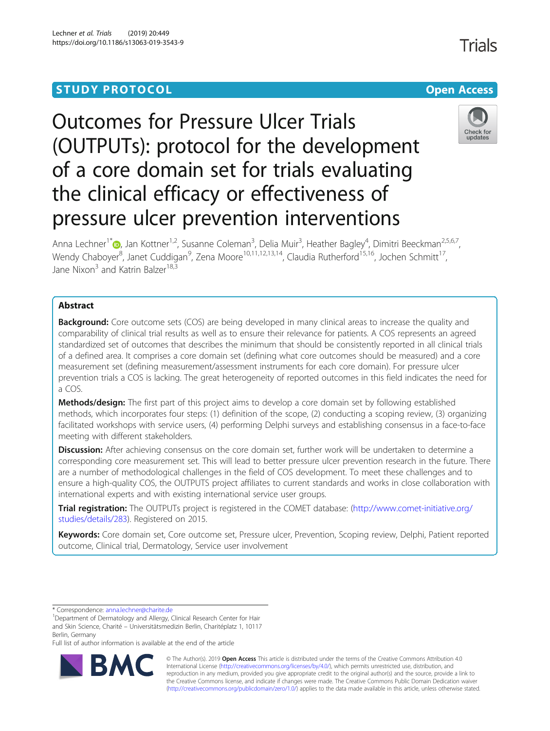## **STUDY PROTOCOL CONSUMING THE CONSUMING OPEN ACCESS**

# Outcomes for Pressure Ulcer Trials (OUTPUTs): protocol for the development of a core domain set for trials evaluating the clinical efficacy or effectiveness of pressure ulcer prevention interventions



Trials

Anna Lechner<sup>1\*</sup> (@[,](http://orcid.org/0000-0001-6127-9314) Jan Kottner<sup>1,2</sup>, Susanne Coleman<sup>3</sup>, Delia Muir<sup>3</sup>, Heather Bagley<sup>4</sup>, Dimitri Beeckman<sup>2,5,6,7</sup>, Wendy Chaboyer<sup>8</sup>, Janet Cuddigan<sup>9</sup>, Zena Moore<sup>10,11,12,13,14</sup>, Claudia Rutherford<sup>15,16</sup>, Jochen Schmitt<sup>17</sup>, Jane Nixon<sup>3</sup> and Katrin Balzer<sup>18,3</sup>

## Abstract

**Background:** Core outcome sets (COS) are being developed in many clinical areas to increase the quality and comparability of clinical trial results as well as to ensure their relevance for patients. A COS represents an agreed standardized set of outcomes that describes the minimum that should be consistently reported in all clinical trials of a defined area. It comprises a core domain set (defining what core outcomes should be measured) and a core measurement set (defining measurement/assessment instruments for each core domain). For pressure ulcer prevention trials a COS is lacking. The great heterogeneity of reported outcomes in this field indicates the need for a COS.

Methods/design: The first part of this project aims to develop a core domain set by following established methods, which incorporates four steps: (1) definition of the scope, (2) conducting a scoping review, (3) organizing facilitated workshops with service users, (4) performing Delphi surveys and establishing consensus in a face-to-face meeting with different stakeholders.

**Discussion:** After achieving consensus on the core domain set, further work will be undertaken to determine a corresponding core measurement set. This will lead to better pressure ulcer prevention research in the future. There are a number of methodological challenges in the field of COS development. To meet these challenges and to ensure a high-quality COS, the OUTPUTS project affiliates to current standards and works in close collaboration with international experts and with existing international service user groups.

Trial registration: The OUTPUTs project is registered in the COMET database: ([http://www.comet-initiative.org/](http://www.comet-initiative.org/studies/details/283) [studies/details/283\)](http://www.comet-initiative.org/studies/details/283). Registered on 2015.

Keywords: Core domain set, Core outcome set, Pressure ulcer, Prevention, Scoping review, Delphi, Patient reported outcome, Clinical trial, Dermatology, Service user involvement

\* Correspondence: [anna.lechner@charite.de](mailto:anna.lechner@charite.de) <sup>1</sup>

<sup>1</sup>Department of Dermatology and Allergy, Clinical Research Center for Hair and Skin Science, Charité – Universitätsmedizin Berlin, Charitéplatz 1, 10117 Berlin, Germany

Full list of author information is available at the end of the article



© The Author(s). 2019 **Open Access** This article is distributed under the terms of the Creative Commons Attribution 4.0 International License [\(http://creativecommons.org/licenses/by/4.0/](http://creativecommons.org/licenses/by/4.0/)), which permits unrestricted use, distribution, and reproduction in any medium, provided you give appropriate credit to the original author(s) and the source, provide a link to the Creative Commons license, and indicate if changes were made. The Creative Commons Public Domain Dedication waiver [\(http://creativecommons.org/publicdomain/zero/1.0/](http://creativecommons.org/publicdomain/zero/1.0/)) applies to the data made available in this article, unless otherwise stated.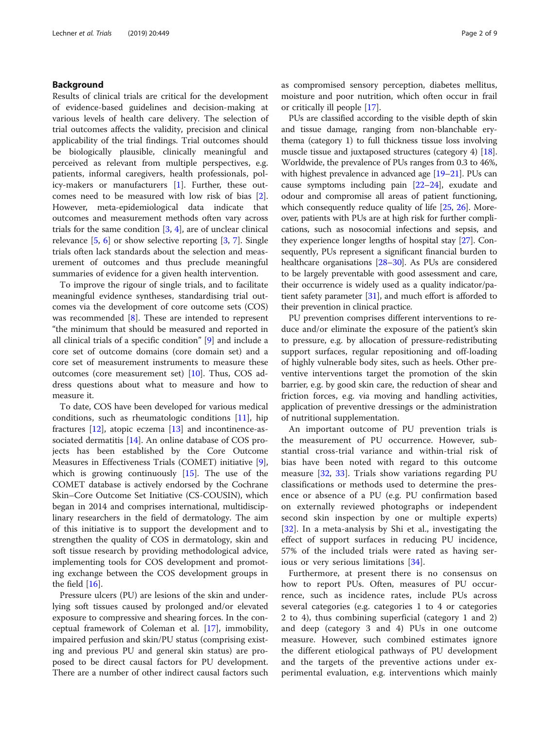## Background

Results of clinical trials are critical for the development of evidence-based guidelines and decision-making at various levels of health care delivery. The selection of trial outcomes affects the validity, precision and clinical applicability of the trial findings. Trial outcomes should be biologically plausible, clinically meaningful and perceived as relevant from multiple perspectives, e.g. patients, informal caregivers, health professionals, policy-makers or manufacturers [\[1\]](#page-6-0). Further, these outcomes need to be measured with low risk of bias [\[2](#page-6-0)]. However, meta-epidemiological data indicate that outcomes and measurement methods often vary across trials for the same condition  $[3, 4]$  $[3, 4]$  $[3, 4]$ , are of unclear clinical relevance  $[5, 6]$  $[5, 6]$  $[5, 6]$  or show selective reporting  $[3, 7]$  $[3, 7]$  $[3, 7]$  $[3, 7]$  $[3, 7]$ . Single trials often lack standards about the selection and measurement of outcomes and thus preclude meaningful summaries of evidence for a given health intervention.

To improve the rigour of single trials, and to facilitate meaningful evidence syntheses, standardising trial outcomes via the development of core outcome sets (COS) was recommended [[8](#page-7-0)]. These are intended to represent "the minimum that should be measured and reported in all clinical trials of a specific condition" [\[9](#page-7-0)] and include a core set of outcome domains (core domain set) and a core set of measurement instruments to measure these outcomes (core measurement set) [[10\]](#page-7-0). Thus, COS address questions about what to measure and how to measure it.

To date, COS have been developed for various medical conditions, such as rheumatologic conditions [[11](#page-7-0)], hip fractures [[12\]](#page-7-0), atopic eczema [[13\]](#page-7-0) and incontinence-associated dermatitis [[14\]](#page-7-0). An online database of COS projects has been established by the Core Outcome Measures in Effectiveness Trials (COMET) initiative [\[9](#page-7-0)], which is growing continuously [[15](#page-7-0)]. The use of the COMET database is actively endorsed by the Cochrane Skin–Core Outcome Set Initiative (CS-COUSIN), which began in 2014 and comprises international, multidisciplinary researchers in the field of dermatology. The aim of this initiative is to support the development and to strengthen the quality of COS in dermatology, skin and soft tissue research by providing methodological advice, implementing tools for COS development and promoting exchange between the COS development groups in the field [\[16](#page-7-0)].

Pressure ulcers (PU) are lesions of the skin and underlying soft tissues caused by prolonged and/or elevated exposure to compressive and shearing forces. In the conceptual framework of Coleman et al. [[17\]](#page-7-0), immobility, impaired perfusion and skin/PU status (comprising existing and previous PU and general skin status) are proposed to be direct causal factors for PU development. There are a number of other indirect causal factors such as compromised sensory perception, diabetes mellitus, moisture and poor nutrition, which often occur in frail or critically ill people [[17\]](#page-7-0).

PUs are classified according to the visible depth of skin and tissue damage, ranging from non-blanchable erythema (category 1) to full thickness tissue loss involving muscle tissue and juxtaposed structures (category 4) [[18](#page-7-0)]. Worldwide, the prevalence of PUs ranges from 0.3 to 46%, with highest prevalence in advanced age [\[19](#page-7-0)–[21](#page-7-0)]. PUs can cause symptoms including pain [\[22](#page-7-0)–[24](#page-7-0)], exudate and odour and compromise all areas of patient functioning, which consequently reduce quality of life [\[25](#page-7-0), [26](#page-7-0)]. Moreover, patients with PUs are at high risk for further complications, such as nosocomial infections and sepsis, and they experience longer lengths of hospital stay [[27\]](#page-7-0). Consequently, PUs represent a significant financial burden to healthcare organisations [[28](#page-7-0)–[30\]](#page-7-0). As PUs are considered to be largely preventable with good assessment and care, their occurrence is widely used as a quality indicator/patient safety parameter  $[31]$  $[31]$  $[31]$ , and much effort is afforded to their prevention in clinical practice.

PU prevention comprises different interventions to reduce and/or eliminate the exposure of the patient's skin to pressure, e.g. by allocation of pressure-redistributing support surfaces, regular repositioning and off-loading of highly vulnerable body sites, such as heels. Other preventive interventions target the promotion of the skin barrier, e.g. by good skin care, the reduction of shear and friction forces, e.g. via moving and handling activities, application of preventive dressings or the administration of nutritional supplementation.

An important outcome of PU prevention trials is the measurement of PU occurrence. However, substantial cross-trial variance and within-trial risk of bias have been noted with regard to this outcome measure [[32](#page-7-0), [33\]](#page-7-0). Trials show variations regarding PU classifications or methods used to determine the presence or absence of a PU (e.g. PU confirmation based on externally reviewed photographs or independent second skin inspection by one or multiple experts) [[32\]](#page-7-0). In a meta-analysis by Shi et al., investigating the effect of support surfaces in reducing PU incidence, 57% of the included trials were rated as having serious or very serious limitations [[34\]](#page-7-0).

Furthermore, at present there is no consensus on how to report PUs. Often, measures of PU occurrence, such as incidence rates, include PUs across several categories (e.g. categories 1 to 4 or categories 2 to 4), thus combining superficial (category 1 and 2) and deep (category 3 and 4) PUs in one outcome measure. However, such combined estimates ignore the different etiological pathways of PU development and the targets of the preventive actions under experimental evaluation, e.g. interventions which mainly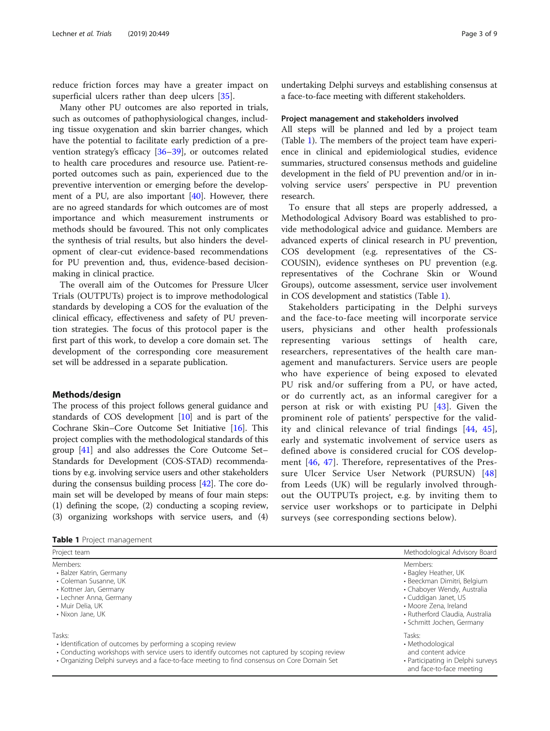reduce friction forces may have a greater impact on superficial ulcers rather than deep ulcers [[35\]](#page-7-0).

Many other PU outcomes are also reported in trials, such as outcomes of pathophysiological changes, including tissue oxygenation and skin barrier changes, which have the potential to facilitate early prediction of a prevention strategy's efficacy [[36](#page-7-0)–[39](#page-7-0)], or outcomes related to health care procedures and resource use. Patient-reported outcomes such as pain, experienced due to the preventive intervention or emerging before the development of a PU, are also important [[40](#page-7-0)]. However, there are no agreed standards for which outcomes are of most importance and which measurement instruments or methods should be favoured. This not only complicates the synthesis of trial results, but also hinders the development of clear-cut evidence-based recommendations for PU prevention and, thus, evidence-based decisionmaking in clinical practice.

The overall aim of the Outcomes for Pressure Ulcer Trials (OUTPUTs) project is to improve methodological standards by developing a COS for the evaluation of the clinical efficacy, effectiveness and safety of PU prevention strategies. The focus of this protocol paper is the first part of this work, to develop a core domain set. The development of the corresponding core measurement set will be addressed in a separate publication.

## Methods/design

The process of this project follows general guidance and standards of COS development [\[10\]](#page-7-0) and is part of the Cochrane Skin–Core Outcome Set Initiative [[16](#page-7-0)]. This project complies with the methodological standards of this group [\[41\]](#page-7-0) and also addresses the Core Outcome Set– Standards for Development (COS-STAD) recommendations by e.g. involving service users and other stakeholders during the consensus building process [[42](#page-7-0)]. The core domain set will be developed by means of four main steps: (1) defining the scope, (2) conducting a scoping review, (3) organizing workshops with service users, and (4)

undertaking Delphi surveys and establishing consensus at a face-to-face meeting with different stakeholders.

#### Project management and stakeholders involved

All steps will be planned and led by a project team (Table 1). The members of the project team have experience in clinical and epidemiological studies, evidence summaries, structured consensus methods and guideline development in the field of PU prevention and/or in involving service users' perspective in PU prevention research.

To ensure that all steps are properly addressed, a Methodological Advisory Board was established to provide methodological advice and guidance. Members are advanced experts of clinical research in PU prevention, COS development (e.g. representatives of the CS-COUSIN), evidence syntheses on PU prevention (e.g. representatives of the Cochrane Skin or Wound Groups), outcome assessment, service user involvement in COS development and statistics (Table 1).

Stakeholders participating in the Delphi surveys and the face-to-face meeting will incorporate service users, physicians and other health professionals representing various settings of health care, researchers, representatives of the health care management and manufacturers. Service users are people who have experience of being exposed to elevated PU risk and/or suffering from a PU, or have acted, or do currently act, as an informal caregiver for a person at risk or with existing PU [\[43](#page-7-0)]. Given the prominent role of patients' perspective for the validity and clinical relevance of trial findings [[44,](#page-7-0) [45](#page-7-0)], early and systematic involvement of service users as defined above is considered crucial for COS development [[46](#page-7-0), [47\]](#page-7-0). Therefore, representatives of the Pressure Ulcer Service User Network (PURSUN) [\[48](#page-7-0)] from Leeds (UK) will be regularly involved throughout the OUTPUTs project, e.g. by inviting them to service user workshops or to participate in Delphi surveys (see corresponding sections below).

| Project team                                                                                                                                                                                                                                                          | Methodological Advisory Board                                                                                                                                                                                   |
|-----------------------------------------------------------------------------------------------------------------------------------------------------------------------------------------------------------------------------------------------------------------------|-----------------------------------------------------------------------------------------------------------------------------------------------------------------------------------------------------------------|
| Members:<br>• Balzer Katrin, Germany<br>• Coleman Susanne, UK<br>• Kottner Jan, Germany<br>• Lechner Anna, Germany<br>• Muir Delia, UK<br>• Nixon Jane, UK                                                                                                            | Members:<br>• Bagley Heather, UK<br>• Beeckman Dimitri, Belgium<br>• Chaboyer Wendy, Australia<br>• Cuddigan Janet, US<br>• Moore Zena, Ireland<br>• Rutherford Claudia, Australia<br>· Schmitt Jochen, Germany |
| Tasks:<br>· Identification of outcomes by performing a scoping review<br>• Conducting workshops with service users to identify outcomes not captured by scoping review<br>• Organizing Delphi surveys and a face-to-face meeting to find consensus on Core Domain Set | Tasks:<br>• Methodological<br>and content advice<br>• Participating in Delphi surveys<br>and face-to-face meeting                                                                                               |

Table 1 Project management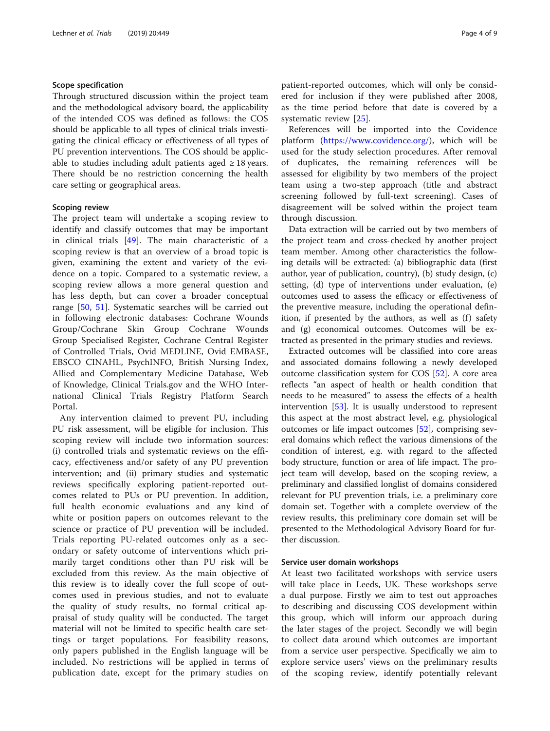## Scope specification

Through structured discussion within the project team and the methodological advisory board, the applicability of the intended COS was defined as follows: the COS should be applicable to all types of clinical trials investigating the clinical efficacy or effectiveness of all types of PU prevention interventions. The COS should be applicable to studies including adult patients aged  $\geq 18$  years. There should be no restriction concerning the health care setting or geographical areas.

## Scoping review

The project team will undertake a scoping review to identify and classify outcomes that may be important in clinical trials [[49\]](#page-7-0). The main characteristic of a scoping review is that an overview of a broad topic is given, examining the extent and variety of the evidence on a topic. Compared to a systematic review, a scoping review allows a more general question and has less depth, but can cover a broader conceptual range [\[50](#page-7-0), [51](#page-7-0)]. Systematic searches will be carried out in following electronic databases: Cochrane Wounds Group/Cochrane Skin Group Cochrane Wounds Group Specialised Register, Cochrane Central Register of Controlled Trials, Ovid MEDLINE, Ovid EMBASE, EBSCO CINAHL, PsychINFO, British Nursing Index, Allied and Complementary Medicine Database, Web of Knowledge, Clinical Trials.gov and the WHO International Clinical Trials Registry Platform Search Portal.

Any intervention claimed to prevent PU, including PU risk assessment, will be eligible for inclusion. This scoping review will include two information sources: (i) controlled trials and systematic reviews on the efficacy, effectiveness and/or safety of any PU prevention intervention; and (ii) primary studies and systematic reviews specifically exploring patient-reported outcomes related to PUs or PU prevention. In addition, full health economic evaluations and any kind of white or position papers on outcomes relevant to the science or practice of PU prevention will be included. Trials reporting PU-related outcomes only as a secondary or safety outcome of interventions which primarily target conditions other than PU risk will be excluded from this review. As the main objective of this review is to ideally cover the full scope of outcomes used in previous studies, and not to evaluate the quality of study results, no formal critical appraisal of study quality will be conducted. The target material will not be limited to specific health care settings or target populations. For feasibility reasons, only papers published in the English language will be included. No restrictions will be applied in terms of publication date, except for the primary studies on patient-reported outcomes, which will only be considered for inclusion if they were published after 2008, as the time period before that date is covered by a systematic review [[25](#page-7-0)].

References will be imported into the Covidence platform [\(https://www.covidence.org/\)](https://www.covidence.org/), which will be used for the study selection procedures. After removal of duplicates, the remaining references will be assessed for eligibility by two members of the project team using a two-step approach (title and abstract screening followed by full-text screening). Cases of disagreement will be solved within the project team through discussion.

Data extraction will be carried out by two members of the project team and cross-checked by another project team member. Among other characteristics the following details will be extracted: (a) bibliographic data (first author, year of publication, country), (b) study design, (c) setting, (d) type of interventions under evaluation, (e) outcomes used to assess the efficacy or effectiveness of the preventive measure, including the operational definition, if presented by the authors, as well as (f) safety and (g) economical outcomes. Outcomes will be extracted as presented in the primary studies and reviews.

Extracted outcomes will be classified into core areas and associated domains following a newly developed outcome classification system for COS [[52\]](#page-7-0). A core area reflects "an aspect of health or health condition that needs to be measured" to assess the effects of a health intervention [\[53](#page-7-0)]. It is usually understood to represent this aspect at the most abstract level, e.g. physiological outcomes or life impact outcomes [\[52\]](#page-7-0), comprising several domains which reflect the various dimensions of the condition of interest, e.g. with regard to the affected body structure, function or area of life impact. The project team will develop, based on the scoping review, a preliminary and classified longlist of domains considered relevant for PU prevention trials, i.e. a preliminary core domain set. Together with a complete overview of the review results, this preliminary core domain set will be presented to the Methodological Advisory Board for further discussion.

#### Service user domain workshops

At least two facilitated workshops with service users will take place in Leeds, UK. These workshops serve a dual purpose. Firstly we aim to test out approaches to describing and discussing COS development within this group, which will inform our approach during the later stages of the project. Secondly we will begin to collect data around which outcomes are important from a service user perspective. Specifically we aim to explore service users' views on the preliminary results of the scoping review, identify potentially relevant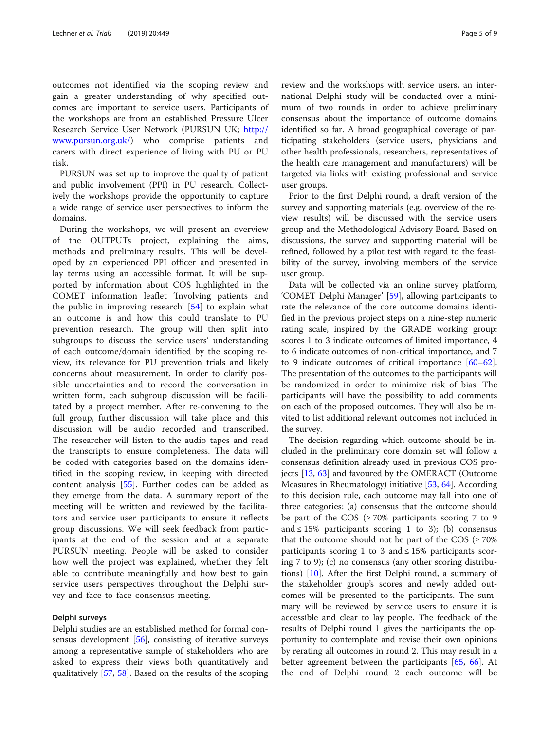outcomes not identified via the scoping review and gain a greater understanding of why specified outcomes are important to service users. Participants of the workshops are from an established Pressure Ulcer Research Service User Network (PURSUN UK; [http://](http://www.pursun.org.uk/) [www.pursun.org.uk/](http://www.pursun.org.uk/)) who comprise patients and carers with direct experience of living with PU or PU risk.

PURSUN was set up to improve the quality of patient and public involvement (PPI) in PU research. Collectively the workshops provide the opportunity to capture a wide range of service user perspectives to inform the domains.

During the workshops, we will present an overview of the OUTPUTs project, explaining the aims, methods and preliminary results. This will be developed by an experienced PPI officer and presented in lay terms using an accessible format. It will be supported by information about COS highlighted in the COMET information leaflet 'Involving patients and the public in improving research' [[54\]](#page-7-0) to explain what an outcome is and how this could translate to PU prevention research. The group will then split into subgroups to discuss the service users' understanding of each outcome/domain identified by the scoping review, its relevance for PU prevention trials and likely concerns about measurement. In order to clarify possible uncertainties and to record the conversation in written form, each subgroup discussion will be facilitated by a project member. After re-convening to the full group, further discussion will take place and this discussion will be audio recorded and transcribed. The researcher will listen to the audio tapes and read the transcripts to ensure completeness. The data will be coded with categories based on the domains identified in the scoping review, in keeping with directed content analysis [[55](#page-7-0)]. Further codes can be added as they emerge from the data. A summary report of the meeting will be written and reviewed by the facilitators and service user participants to ensure it reflects group discussions. We will seek feedback from participants at the end of the session and at a separate PURSUN meeting. People will be asked to consider how well the project was explained, whether they felt able to contribute meaningfully and how best to gain service users perspectives throughout the Delphi survey and face to face consensus meeting.

## Delphi surveys

Delphi studies are an established method for formal consensus development [\[56\]](#page-7-0), consisting of iterative surveys among a representative sample of stakeholders who are asked to express their views both quantitatively and qualitatively [\[57,](#page-7-0) [58](#page-7-0)]. Based on the results of the scoping review and the workshops with service users, an international Delphi study will be conducted over a minimum of two rounds in order to achieve preliminary consensus about the importance of outcome domains identified so far. A broad geographical coverage of participating stakeholders (service users, physicians and other health professionals, researchers, representatives of the health care management and manufacturers) will be targeted via links with existing professional and service user groups.

Prior to the first Delphi round, a draft version of the survey and supporting materials (e.g. overview of the review results) will be discussed with the service users group and the Methodological Advisory Board. Based on discussions, the survey and supporting material will be refined, followed by a pilot test with regard to the feasibility of the survey, involving members of the service user group.

Data will be collected via an online survey platform, 'COMET Delphi Manager' [[59\]](#page-7-0), allowing participants to rate the relevance of the core outcome domains identified in the previous project steps on a nine-step numeric rating scale, inspired by the GRADE working group: scores 1 to 3 indicate outcomes of limited importance, 4 to 6 indicate outcomes of non-critical importance, and 7 to 9 indicate outcomes of critical importance [[60](#page-7-0)–[62](#page-7-0)]. The presentation of the outcomes to the participants will be randomized in order to minimize risk of bias. The participants will have the possibility to add comments on each of the proposed outcomes. They will also be invited to list additional relevant outcomes not included in the survey.

The decision regarding which outcome should be included in the preliminary core domain set will follow a consensus definition already used in previous COS projects [\[13](#page-7-0), [63](#page-7-0)] and favoured by the OMERACT (Outcome Measures in Rheumatology) initiative [\[53](#page-7-0), [64](#page-8-0)]. According to this decision rule, each outcome may fall into one of three categories: (a) consensus that the outcome should be part of the COS ( $\geq$  70% participants scoring 7 to 9 and  $\leq 15\%$  participants scoring 1 to 3); (b) consensus that the outcome should not be part of the COS  $(≥ 70\%)$ participants scoring 1 to 3 and  $\leq 15\%$  participants scoring 7 to 9); (c) no consensus (any other scoring distributions) [\[10](#page-7-0)]. After the first Delphi round, a summary of the stakeholder group's scores and newly added outcomes will be presented to the participants. The summary will be reviewed by service users to ensure it is accessible and clear to lay people. The feedback of the results of Delphi round 1 gives the participants the opportunity to contemplate and revise their own opinions by rerating all outcomes in round 2. This may result in a better agreement between the participants [\[65,](#page-8-0) [66\]](#page-8-0). At the end of Delphi round 2 each outcome will be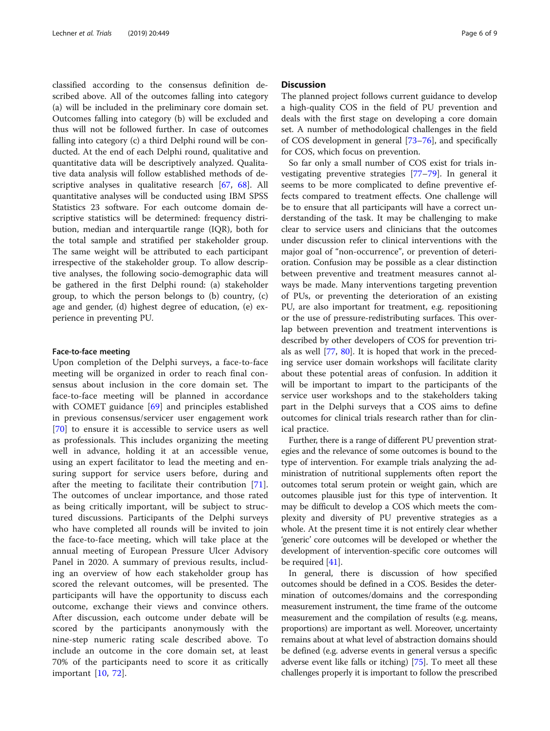classified according to the consensus definition described above. All of the outcomes falling into category (a) will be included in the preliminary core domain set. Outcomes falling into category (b) will be excluded and thus will not be followed further. In case of outcomes falling into category (c) a third Delphi round will be conducted. At the end of each Delphi round, qualitative and quantitative data will be descriptively analyzed. Qualitative data analysis will follow established methods of descriptive analyses in qualitative research [[67,](#page-8-0) [68](#page-8-0)]. All quantitative analyses will be conducted using IBM SPSS Statistics 23 software. For each outcome domain descriptive statistics will be determined: frequency distribution, median and interquartile range (IQR), both for the total sample and stratified per stakeholder group. The same weight will be attributed to each participant irrespective of the stakeholder group. To allow descriptive analyses, the following socio-demographic data will be gathered in the first Delphi round: (a) stakeholder group, to which the person belongs to (b) country, (c) age and gender, (d) highest degree of education, (e) experience in preventing PU.

## Face-to-face meeting

Upon completion of the Delphi surveys, a face-to-face meeting will be organized in order to reach final consensus about inclusion in the core domain set. The face-to-face meeting will be planned in accordance with COMET guidance [[69](#page-8-0)] and principles established in previous consensus/servicer user engagement work [[70\]](#page-8-0) to ensure it is accessible to service users as well as professionals. This includes organizing the meeting well in advance, holding it at an accessible venue, using an expert facilitator to lead the meeting and ensuring support for service users before, during and after the meeting to facilitate their contribution [[71](#page-8-0)]. The outcomes of unclear importance, and those rated as being critically important, will be subject to structured discussions. Participants of the Delphi surveys who have completed all rounds will be invited to join the face-to-face meeting, which will take place at the annual meeting of European Pressure Ulcer Advisory Panel in 2020. A summary of previous results, including an overview of how each stakeholder group has scored the relevant outcomes, will be presented. The participants will have the opportunity to discuss each outcome, exchange their views and convince others. After discussion, each outcome under debate will be scored by the participants anonymously with the nine-step numeric rating scale described above. To include an outcome in the core domain set, at least 70% of the participants need to score it as critically important [[10,](#page-7-0) [72\]](#page-8-0).

## **Discussion**

The planned project follows current guidance to develop a high-quality COS in the field of PU prevention and deals with the first stage on developing a core domain set. A number of methodological challenges in the field of COS development in general [[73](#page-8-0)–[76](#page-8-0)], and specifically for COS, which focus on prevention.

So far only a small number of COS exist for trials investigating preventive strategies [[77](#page-8-0)–[79](#page-8-0)]. In general it seems to be more complicated to define preventive effects compared to treatment effects. One challenge will be to ensure that all participants will have a correct understanding of the task. It may be challenging to make clear to service users and clinicians that the outcomes under discussion refer to clinical interventions with the major goal of "non-occurrence", or prevention of deterioration. Confusion may be possible as a clear distinction between preventive and treatment measures cannot always be made. Many interventions targeting prevention of PUs, or preventing the deterioration of an existing PU, are also important for treatment, e.g. repositioning or the use of pressure-redistributing surfaces. This overlap between prevention and treatment interventions is described by other developers of COS for prevention trials as well [[77,](#page-8-0) [80\]](#page-8-0). It is hoped that work in the preceding service user domain workshops will facilitate clarity about these potential areas of confusion. In addition it will be important to impart to the participants of the service user workshops and to the stakeholders taking part in the Delphi surveys that a COS aims to define outcomes for clinical trials research rather than for clinical practice.

Further, there is a range of different PU prevention strategies and the relevance of some outcomes is bound to the type of intervention. For example trials analyzing the administration of nutritional supplements often report the outcomes total serum protein or weight gain, which are outcomes plausible just for this type of intervention. It may be difficult to develop a COS which meets the complexity and diversity of PU preventive strategies as a whole. At the present time it is not entirely clear whether 'generic' core outcomes will be developed or whether the development of intervention-specific core outcomes will be required [\[41\]](#page-7-0).

In general, there is discussion of how specified outcomes should be defined in a COS. Besides the determination of outcomes/domains and the corresponding measurement instrument, the time frame of the outcome measurement and the compilation of results (e.g. means, proportions) are important as well. Moreover, uncertainty remains about at what level of abstraction domains should be defined (e.g. adverse events in general versus a specific adverse event like falls or itching) [[75](#page-8-0)]. To meet all these challenges properly it is important to follow the prescribed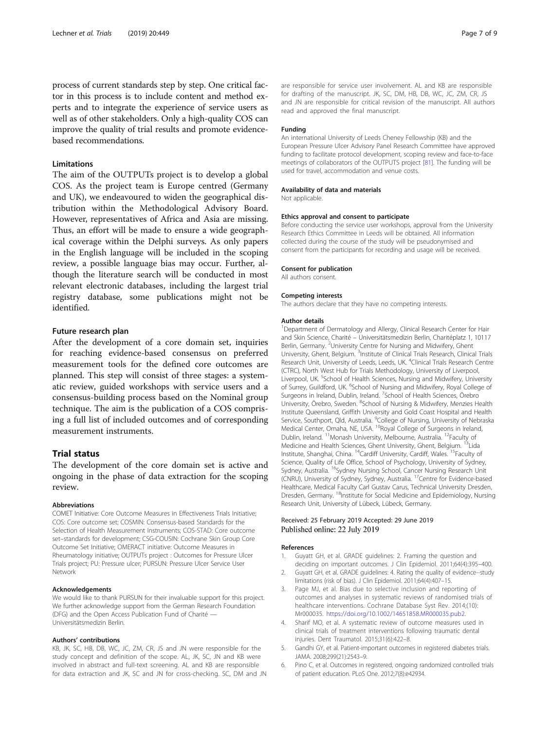<span id="page-6-0"></span>process of current standards step by step. One critical factor in this process is to include content and method experts and to integrate the experience of service users as well as of other stakeholders. Only a high-quality COS can improve the quality of trial results and promote evidencebased recommendations.

## Limitations

The aim of the OUTPUTs project is to develop a global COS. As the project team is Europe centred (Germany and UK), we endeavoured to widen the geographical distribution within the Methodological Advisory Board. However, representatives of Africa and Asia are missing. Thus, an effort will be made to ensure a wide geographical coverage within the Delphi surveys. As only papers in the English language will be included in the scoping review, a possible language bias may occur. Further, although the literature search will be conducted in most relevant electronic databases, including the largest trial registry database, some publications might not be identified.

## Future research plan

After the development of a core domain set, inquiries for reaching evidence-based consensus on preferred measurement tools for the defined core outcomes are planned. This step will consist of three stages: a systematic review, guided workshops with service users and a consensus-building process based on the Nominal group technique. The aim is the publication of a COS comprising a full list of included outcomes and of corresponding measurement instruments.

## Trial status

The development of the core domain set is active and ongoing in the phase of data extraction for the scoping review.

#### Abbreviations

COMET Initiative: Core Outcome Measures in Effectiveness Trials Initiative; COS: Core outcome set; COSMIN: Consensus-based Standards for the Selection of Health Measurement Instruments; COS-STAD: Core outcome set–standards for development; CSG-COUSIN: Cochrane Skin Group Core Outcome Set Initiative; OMERACT initiative: Outcome Measures in Rheumatology initiative; OUTPUTs project : Outcomes for Pressure Ulcer Trials project; PU: Pressure ulcer; PURSUN: Pressure Ulcer Service User Network

#### Acknowledgements

We would like to thank PURSUN for their invaluable support for this project. We further acknowledge support from the German Research Foundation (DFG) and the Open Access Publication Fund of Charité — Universitätsmedizin Berlin.

#### Authors' contributions

KB, JK, SC, HB, DB, WC, JC, ZM, CR, JS and JN were responsible for the study concept and definition of the scope. AL, JK, SC, JN and KB were involved in abstract and full-text screening. AL and KB are responsible for data extraction and JK, SC and JN for cross-checking. SC, DM and JN

are responsible for service user involvement. AL and KB are responsible for drafting of the manuscript. JK, SC, DM, HB, DB, WC, JC, ZM, CR, JS and JN are responsible for critical revision of the manuscript. All authors read and approved the final manuscript.

## Funding

An international University of Leeds Cheney Fellowship (KB) and the European Pressure Ulcer Advisory Panel Research Committee have approved funding to facilitate protocol development, scoping review and face-to-face meetings of collaborators of the OUTPUTS project [\[81](#page-8-0)]. The funding will be used for travel, accommodation and venue costs.

#### Availability of data and materials

Not applicable.

#### Ethics approval and consent to participate

Before conducting the service user workshops, approval from the University Research Ethics Committee in Leeds will be obtained. All information collected during the course of the study will be pseudonymised and consent from the participants for recording and usage will be received.

#### Consent for publication

All authors consent.

#### Competing interests

The authors declare that they have no competing interests.

#### Author details

<sup>1</sup>Department of Dermatology and Allergy, Clinical Research Center for Hair and Skin Science, Charité – Universitätsmedizin Berlin, Charitéplatz 1, 10117 Berlin, Germany. <sup>2</sup>University Centre for Nursing and Midwifery, Ghent University, Ghent, Belgium. <sup>3</sup>Institute of Clinical Trials Research, Clinical Trials Research Unit, University of Leeds, Leeds, UK. <sup>4</sup>Clinical Trials Research Centre (CTRC), North West Hub for Trials Methodology, University of Liverpool, Liverpool, UK. <sup>5</sup>School of Health Sciences, Nursing and Midwifery, University of Surrey, Guildford, UK. <sup>6</sup>School of Nursing and Midwifery, Royal College of Surgeons in Ireland, Dublin, Ireland. <sup>7</sup>School of Health Sciences, Örebro University, Örebro, Sweden. <sup>8</sup>School of Nursing & Midwifery, Menzies Health Institute Queensland, Griffith University and Gold Coast Hospital and Health Service, Southport, Qld, Australia. <sup>9</sup>College of Nursing, University of Nebraska Medical Center, Omaha, NE, USA. <sup>10</sup>Royal College of Surgeons in Ireland, Dublin, Ireland. 11Monash University, Melbourne, Australia. 12Faculty of Medicine and Health Sciences, Ghent University, Ghent, Belgium. 13Lida Institute, Shanghai, China. 14Cardiff University, Cardiff, Wales. 15Faculty of Science, Quality of Life Office, School of Psychology, University of Sydney, Sydney, Australia. <sup>16</sup>Sydney Nursing School, Cancer Nursing Research Unit (CNRU), University of Sydney, Sydney, Australia. 17Centre for Evidence-based Healthcare, Medical Faculty Carl Gustav Carus, Technical University Dresden, Dresden, Germany. <sup>18</sup>Institute for Social Medicine and Epidemiology, Nursing Research Unit, University of Lübeck, Lübeck, Germany.

## Received: 25 February 2019 Accepted: 29 June 2019 Published online: 22 July 2019

## References

- 1. Guyatt GH, et al. GRADE guidelines: 2. Framing the question and deciding on important outcomes. J Clin Epidemiol. 2011;64(4):395–400.
- 2. Guyatt GH, et al. GRADE guidelines: 4. Rating the quality of evidence--study limitations (risk of bias). J Clin Epidemiol. 2011;64(4):407–15.
- Page MJ, et al. Bias due to selective inclusion and reporting of outcomes and analyses in systematic reviews of randomised trials of healthcare interventions. Cochrane Database Syst Rev. 2014;(10): Mr000035. <https://doi.org/10.1002/14651858.MR000035.pub2>.
- 4. Sharif MO, et al. A systematic review of outcome measures used in clinical trials of treatment interventions following traumatic dental injuries. Dent Traumatol. 2015;31(6):422–8.
- 5. Gandhi GY, et al. Patient-important outcomes in registered diabetes trials. JAMA. 2008;299(21):2543–9.
- 6. Pino C, et al. Outcomes in registered, ongoing randomized controlled trials of patient education. PLoS One. 2012;7(8):e42934.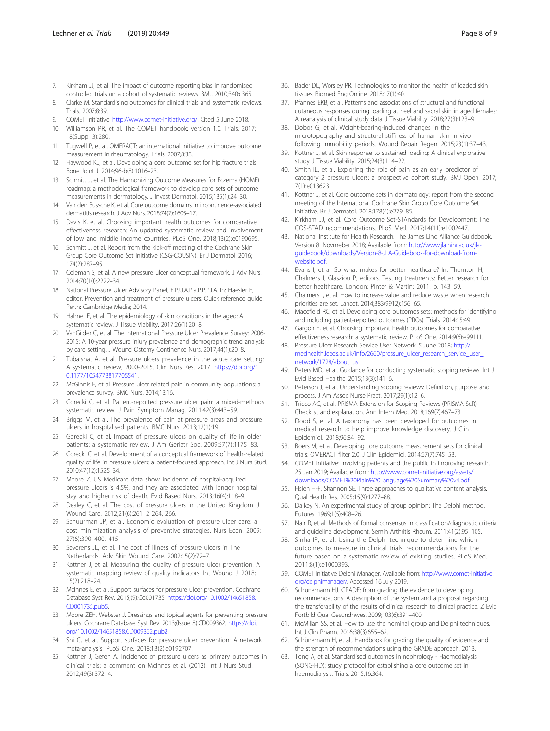- <span id="page-7-0"></span>7. Kirkham JJ, et al. The impact of outcome reporting bias in randomised controlled trials on a cohort of systematic reviews. BMJ. 2010;340:c365.
- Clarke M. Standardising outcomes for clinical trials and systematic reviews. Trials. 2007;8:39.
- 9. COMET Initiative. [http://www.comet-initiative.org/.](http://www.comet-initiative.org/) Cited 5 June 2018.
- 10. Williamson PR, et al. The COMET handbook: version 1.0. Trials. 2017; 18(Suppl 3):280.
- 11. Tugwell P, et al. OMERACT: an international initiative to improve outcome measurement in rheumatology. Trials. 2007;8:38.
- 12. Haywood KL, et al. Developing a core outcome set for hip fracture trials. Bone Joint J. 2014;96-b(8):1016–23.
- 13. Schmitt J, et al. The Harmonizing Outcome Measures for Eczema (HOME) roadmap: a methodological framework to develop core sets of outcome measurements in dermatology. J Invest Dermatol. 2015;135(1):24–30.
- 14. Van den Bussche K, et al. Core outcome domains in incontinence-associated dermatitis research. J Adv Nurs. 2018;74(7):1605–17.
- 15. Davis K, et al. Choosing important health outcomes for comparative effectiveness research: An updated systematic review and involvement of low and middle income countries. PLoS One. 2018;13(2):e0190695.
- 16. Schmitt J, et al. Report from the kick-off meeting of the Cochrane Skin Group Core Outcome Set Initiative (CSG-COUSIN). Br J Dermatol. 2016; 174(2):287–95.
- 17. Coleman S, et al. A new pressure ulcer conceptual framework. J Adv Nurs. 2014;70(10):2222–34.
- 18. National Pressure Ulcer Advisory Panel, E.P.U.A.P.a.P.P.P.I.A. In: Haesler E, editor. Prevention and treatment of pressure ulcers: Quick reference guide. Perth: Cambridge Media; 2014.
- 19. Hahnel E, et al. The epidemiology of skin conditions in the aged: A systematic review. J Tissue Viability. 2017;26(1):20–8.
- 20. VanGilder C, et al. The International Pressure Ulcer Prevalence Survey: 2006- 2015: A 10-year pressure injury prevalence and demographic trend analysis by care setting. J Wound Ostomy Continence Nurs. 2017;44(1):20–8.
- 21. Tubaishat A, et al. Pressure ulcers prevalence in the acute care setting: A systematic review, 2000-2015. Clin Nurs Res. 2017. [https://doi.org/1](https://doi.org/10.1177/1054773817705541) [0.1177/1054773817705541](https://doi.org/10.1177/1054773817705541).
- 22. McGinnis E, et al. Pressure ulcer related pain in community populations: a prevalence survey. BMC Nurs. 2014;13:16.
- 23. Gorecki C, et al. Patient-reported pressure ulcer pain: a mixed-methods systematic review. J Pain Symptom Manag. 2011;42(3):443–59.
- 24. Briggs M, et al. The prevalence of pain at pressure areas and pressure ulcers in hospitalised patients. BMC Nurs. 2013;12(1):19.
- 25. Gorecki C, et al. Impact of pressure ulcers on quality of life in older patients: a systematic review. J Am Geriatr Soc. 2009;57(7):1175–83.
- 26. Gorecki C, et al. Development of a conceptual framework of health-related quality of life in pressure ulcers: a patient-focused approach. Int J Nurs Stud. 2010;47(12):1525–34.
- 27. Moore Z. US Medicare data show incidence of hospital-acquired pressure ulcers is 4.5%, and they are associated with longer hospital stay and higher risk of death. Evid Based Nurs. 2013;16(4):118–9.
- 28. Dealey C, et al. The cost of pressure ulcers in the United Kingdom. J Wound Care. 2012;21(6):261–2 264, 266.
- 29. Schuurman JP, et al. Economic evaluation of pressure ulcer care: a cost minimization analysis of preventive strategies. Nurs Econ. 2009; 27(6):390–400, 415.
- 30. Severens JL, et al. The cost of illness of pressure ulcers in The Netherlands. Adv Skin Wound Care. 2002;15(2):72–7.
- 31. Kottner J, et al. Measuring the quality of pressure ulcer prevention: A systematic mapping review of quality indicators. Int Wound J. 2018; 15(2):218–24.
- 32. McInnes E, et al. Support surfaces for pressure ulcer prevention. Cochrane Database Syst Rev. 2015;(9):Cd001735. [https://doi.org/10.1002/14651858.](https://doi.org/10.1002/14651858.CD001735.pub5) [CD001735.pub5.](https://doi.org/10.1002/14651858.CD001735.pub5)
- 33. Moore ZEH, Webster J. Dressings and topical agents for preventing pressure ulcers. Cochrane Database Syst Rev. 2013;(Issue 8):CD009362. [https://doi.](https://doi.org/10.1002/14651858.CD009362.pub2) [org/10.1002/14651858.CD009362.pub2.](https://doi.org/10.1002/14651858.CD009362.pub2)
- 34. Shi C, et al. Support surfaces for pressure ulcer prevention: A network meta-analysis. PLoS One. 2018;13(2):e0192707.
- 35. Kottner J, Gefen A. Incidence of pressure ulcers as primary outcomes in clinical trials: a comment on McInnes et al. (2012). Int J Nurs Stud. 2012;49(3):372–4.
- 36. Bader DL, Worsley PR. Technologies to monitor the health of loaded skin tissues. Biomed Eng Online. 2018;17(1):40.
- 37. Pfannes EKB, et al. Patterns and associations of structural and functional cutaneous responses during loading at heel and sacral skin in aged females: A reanalysis of clinical study data. J Tissue Viability. 2018;27(3):123–9.
- 38. Dobos G, et al. Weight-bearing-induced changes in the microtopography and structural stiffness of human skin in vivo following immobility periods. Wound Repair Regen. 2015;23(1):37–43.
- 39. Kottner J, et al. Skin response to sustained loading: A clinical explorative study. J Tissue Viability. 2015;24(3):114–22.
- 40. Smith IL, et al. Exploring the role of pain as an early predictor of category 2 pressure ulcers: a prospective cohort study. BMJ Open. 2017; 7(1):e013623.
- 41. Kottner J, et al. Core outcome sets in dermatology: report from the second meeting of the International Cochrane Skin Group Core Outcome Set Initiative. Br J Dermatol. 2018;178(4):e279–85.
- 42. Kirkham JJ, et al. Core Outcome Set-STAndards for Development: The COS-STAD recommendations. PLoS Med. 2017;14(11):e1002447.
- 43. National Institute for Health Research. The James Lind Alliance Guidebook. Version 8. Novmeber 2018; Available from: [http://www.jla.nihr.ac.uk/jla](http://www.jla.nihr.ac.uk/jla-guidebook/downloads/Version-8-JLA-Guidebook-for-download-from-website.pdf)[guidebook/downloads/Version-8-JLA-Guidebook-for-download-from](http://www.jla.nihr.ac.uk/jla-guidebook/downloads/Version-8-JLA-Guidebook-for-download-from-website.pdf)[website.pdf.](http://www.jla.nihr.ac.uk/jla-guidebook/downloads/Version-8-JLA-Guidebook-for-download-from-website.pdf)
- 44. Evans I, et al. So what makes for better healthcare? In: Thornton H, Chalmers I, Glasziou P, editors. Testing treatments: Better research for better healthcare. London: Pinter & Martin; 2011. p. 143–59.
- 45. Chalmers I, et al. How to increase value and reduce waste when research priorities are set. Lancet. 2014;383(9912):156–65.
- Macefield RC, et al. Developing core outcomes sets: methods for identifying and including patient-reported outcomes (PROs). Trials. 2014;15:49.
- 47. Gargon E, et al. Choosing important health outcomes for comparative effectiveness research: a systematic review. PLoS One. 2014;9(6):e99111.
- 48. Pressure Ulcer Research Service User Network. 5 June 2018; [http://](http://medhealth.leeds.ac.uk/info/2660/pressure_ulcer_research_service_user_network/1728/about_us) [medhealth.leeds.ac.uk/info/2660/pressure\\_ulcer\\_research\\_service\\_user\\_](http://medhealth.leeds.ac.uk/info/2660/pressure_ulcer_research_service_user_network/1728/about_us) [network/1728/about\\_us](http://medhealth.leeds.ac.uk/info/2660/pressure_ulcer_research_service_user_network/1728/about_us).
- 49. Peters MD, et al. Guidance for conducting systematic scoping reviews. Int J Evid Based Healthc. 2015;13(3):141–6.
- 50. Peterson J, et al. Understanding scoping reviews: Definition, purpose, and process. J Am Assoc Nurse Pract. 2017;29(1):12–6.
- 51. Tricco AC, et al. PRISMA Extension for Scoping Reviews (PRISMA-ScR): Checklist and explanation. Ann Intern Med. 2018;169(7):467–73.
- 52. Dodd S, et al. A taxonomy has been developed for outcomes in medical research to help improve knowledge discovery. J Clin Epidemiol. 2018;96:84–92.
- 53. Boers M, et al. Developing core outcome measurement sets for clinical trials: OMERACT filter 2.0. J Clin Epidemiol. 2014;67(7):745–53.
- 54. COMET Initiative: Involving patients and the public in improving research. 25 Jan 2019; Available from: [http://www.comet-initiative.org/assets/](http://www.comet-initiative.org/assets/downloads/COMET%20Plain%20Language%20Summary%20v4.pdf) [downloads/COMET%20Plain%20Language%20Summary%20v4.pdf](http://www.comet-initiative.org/assets/downloads/COMET%20Plain%20Language%20Summary%20v4.pdf).
- 55. Hsieh H-F, Shannon SE. Three approaches to qualitative content analysis. Qual Health Res. 2005;15(9):1277–88.
- 56. Dalkey N. An experimental study of group opinion: The Delphi method. Futures. 1969;1(5):408–26.
- 57. Nair R, et al. Methods of formal consensus in classification/diagnostic criteria and guideline development. Semin Arthritis Rheum. 2011;41(2):95–105.
- 58. Sinha IP, et al. Using the Delphi technique to determine which outcomes to measure in clinical trials: recommendations for the future based on a systematic review of existing studies. PLoS Med. 2011;8(1):e1000393.
- 59. COMET Initiative Delphi Manager. Available from: [http://www.comet-initiative.](http://www.comet-initiative.org/delphimanager/) [org/delphimanager/.](http://www.comet-initiative.org/delphimanager/) Accessed 16 July 2019.
- 60. Schunemann HJ. GRADE: from grading the evidence to developing recommendations. A description of the system and a proposal regarding the transferability of the results of clinical research to clinical practice. Z Evid Fortbild Qual Gesundhwes. 2009;103(6):391–400.
- 61. McMillan SS, et al. How to use the nominal group and Delphi techniques. Int J Clin Pharm. 2016;38(3):655–62.
- 62. Schünemann H, et al., Handbook for grading the quality of evidence and the strength of recommendations using the GRADE approach. 2013.
- Tong A, et al. Standardised outcomes in nephrology Haemodialysis (SONG-HD): study protocol for establishing a core outcome set in haemodialysis. Trials. 2015;16:364.